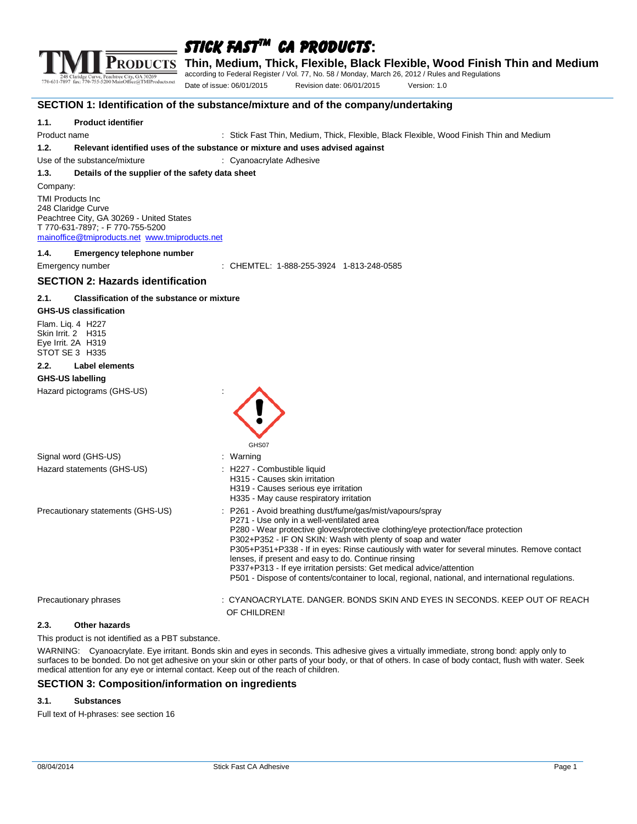

**Thin, Medium, Thick, Flexible, Black Flexible, Wood Finish Thin and Medium**

according to Federal Register / Vol. 77, No. 58 / Monday, March 26, 2012 / Rules and Regulations

Date of issue: 06/01/2015 Revision date: 06/01/2015 Version: 1.0

**SECTION 1: Identification of the substance/mixture and of the company/undertaking**

#### **1.1. Product identifier**

Product name Thing and Stick Fast Thin, Medium, Thick, Flexible, Black Flexible, Wood Finish Thin and Medium

**1.2. Relevant identified uses of the substance or mixture and uses advised against**

Use of the substance/mixture **interpretent control to the substance/mixture** interpretent cyanoacrylate Adhesive

**1.3. Details of the supplier of the safety data sheet**

Company:

TMI Products Inc 248 Claridge Curve Peachtree City, GA 30269 - United States T 770-631-7897; - F 770-755-5200 [mainoffice@tmiproducts.net](mailto:mainoffice@tmiproducts.net) [www.tmiproducts.net](http://www.tmiproducts.net/)

**1.4. Emergency telephone number**

Emergency number : CHEMTEL: 1-888-255-3924 1-813-248-0585

#### **SECTION 2: Hazards identification**

#### **2.1. Classification of the substance or mixture**

#### **GHS-US classification**

Flam. Liq. 4 H227 Skin Irrit. 2 H315 Eye Irrit. 2A H319 STOT SE 3 H335

#### **2.2. Label elements**

#### **GHS-US labelling**

Hazard pictograms (GHS-US) :

|                                   | GHS07                                                                                                                                                                                                                                                                                                                                                                                                                                                                                                                                                                                        |
|-----------------------------------|----------------------------------------------------------------------------------------------------------------------------------------------------------------------------------------------------------------------------------------------------------------------------------------------------------------------------------------------------------------------------------------------------------------------------------------------------------------------------------------------------------------------------------------------------------------------------------------------|
| Signal word (GHS-US)              | : Warning                                                                                                                                                                                                                                                                                                                                                                                                                                                                                                                                                                                    |
| Hazard statements (GHS-US)        | : H227 - Combustible liquid<br>H315 - Causes skin irritation<br>H319 - Causes serious eye irritation<br>H335 - May cause respiratory irritation                                                                                                                                                                                                                                                                                                                                                                                                                                              |
| Precautionary statements (GHS-US) | : P261 - Avoid breathing dust/fume/gas/mist/vapours/spray<br>P271 - Use only in a well-ventilated area<br>P280 - Wear protective gloves/protective clothing/eye protection/face protection<br>P302+P352 - IF ON SKIN: Wash with plenty of soap and water<br>P305+P351+P338 - If in eyes: Rinse cautiously with water for several minutes. Remove contact<br>lenses, if present and easy to do. Continue rinsing<br>P337+P313 - If eye irritation persists: Get medical advice/attention<br>P501 - Dispose of contents/container to local, regional, national, and international regulations. |
| Precautionary phrases             | : CYANOACRYLATE. DANGER. BONDS SKIN AND EYES IN SECONDS. KEEP OUT OF REACH<br>OF CHILDREN!                                                                                                                                                                                                                                                                                                                                                                                                                                                                                                   |

#### **2.3. Other hazards**

This product is not identified as a PBT substance.

WARNING: Cyanoacrylate. Eye irritant. Bonds skin and eyes in seconds. This adhesive gives a virtually immediate, strong bond: apply only to surfaces to be bonded. Do not get adhesive on your skin or other parts of your body, or that of others. In case of body contact, flush with water. Seek medical attention for any eye or internal contact. Keep out of the reach of children.

#### **SECTION 3: Composition/information on ingredients**

#### **3.1. Substances**

Full text of H-phrases: see section 16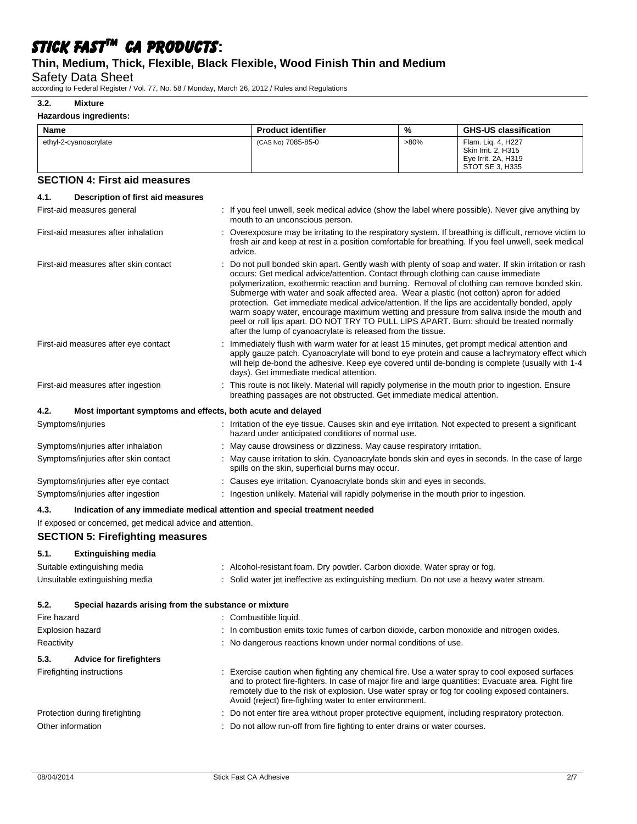# **Thin, Medium, Thick, Flexible, Black Flexible, Wood Finish Thin and Medium**

Safety Data Sheet

according to Federal Register / Vol. 77, No. 58 / Monday, March 26, 2012 / Rules and Regulations

#### **3.2. Mixture**

| Hazardous ingredients:                                                             |                                                                                                                                                                                                                                               |         |                                                                                                                                                                                                                                                                                                                                                                                                                                                                                                 |
|------------------------------------------------------------------------------------|-----------------------------------------------------------------------------------------------------------------------------------------------------------------------------------------------------------------------------------------------|---------|-------------------------------------------------------------------------------------------------------------------------------------------------------------------------------------------------------------------------------------------------------------------------------------------------------------------------------------------------------------------------------------------------------------------------------------------------------------------------------------------------|
| Name                                                                               | <b>Product identifier</b>                                                                                                                                                                                                                     | %       | <b>GHS-US classification</b>                                                                                                                                                                                                                                                                                                                                                                                                                                                                    |
| ethyl-2-cyanoacrylate                                                              | (CAS No) 7085-85-0                                                                                                                                                                                                                            | $>80\%$ | Flam. Lig. 4, H227<br>Skin Irrit. 2, H315<br>Eye Irrit. 2A, H319<br>STOT SE 3, H335                                                                                                                                                                                                                                                                                                                                                                                                             |
| <b>SECTION 4: First aid measures</b>                                               |                                                                                                                                                                                                                                               |         |                                                                                                                                                                                                                                                                                                                                                                                                                                                                                                 |
| 4.1.<br>Description of first aid measures                                          |                                                                                                                                                                                                                                               |         |                                                                                                                                                                                                                                                                                                                                                                                                                                                                                                 |
| First-aid measures general                                                         | mouth to an unconscious person.                                                                                                                                                                                                               |         | : If you feel unwell, seek medical advice (show the label where possible). Never give anything by                                                                                                                                                                                                                                                                                                                                                                                               |
| First-aid measures after inhalation                                                | advice.                                                                                                                                                                                                                                       |         | : Overexposure may be irritating to the respiratory system. If breathing is difficult, remove victim to<br>fresh air and keep at rest in a position comfortable for breathing. If you feel unwell, seek medical                                                                                                                                                                                                                                                                                 |
| First-aid measures after skin contact                                              | occurs: Get medical advice/attention. Contact through clothing can cause immediate<br>Submerge with water and soak affected area. Wear a plastic (not cotton) apron for added<br>after the lump of cyanoacrylate is released from the tissue. |         | Do not pull bonded skin apart. Gently wash with plenty of soap and water. If skin irritation or rash<br>polymerization, exothermic reaction and burning. Removal of clothing can remove bonded skin.<br>protection. Get immediate medical advice/attention. If the lips are accidentally bonded, apply<br>warm soapy water, encourage maximum wetting and pressure from saliva inside the mouth and<br>peel or roll lips apart. DO NOT TRY TO PULL LIPS APART. Burn: should be treated normally |
| First-aid measures after eye contact                                               | days). Get immediate medical attention.                                                                                                                                                                                                       |         | Immediately flush with warm water for at least 15 minutes, get prompt medical attention and<br>apply gauze patch. Cyanoacrylate will bond to eye protein and cause a lachrymatory effect which<br>will help de-bond the adhesive. Keep eye covered until de-bonding is complete (usually with 1-4                                                                                                                                                                                               |
| First-aid measures after ingestion                                                 | breathing passages are not obstructed. Get immediate medical attention.                                                                                                                                                                       |         | : This route is not likely. Material will rapidly polymerise in the mouth prior to ingestion. Ensure                                                                                                                                                                                                                                                                                                                                                                                            |
| 4.2.<br>Most important symptoms and effects, both acute and delayed                |                                                                                                                                                                                                                                               |         |                                                                                                                                                                                                                                                                                                                                                                                                                                                                                                 |
| Symptoms/injuries                                                                  | hazard under anticipated conditions of normal use.                                                                                                                                                                                            |         | : Irritation of the eye tissue. Causes skin and eye irritation. Not expected to present a significant                                                                                                                                                                                                                                                                                                                                                                                           |
| Symptoms/injuries after inhalation                                                 | : May cause drowsiness or dizziness. May cause respiratory irritation.                                                                                                                                                                        |         |                                                                                                                                                                                                                                                                                                                                                                                                                                                                                                 |
| Symptoms/injuries after skin contact                                               | spills on the skin, superficial burns may occur.                                                                                                                                                                                              |         | : May cause irritation to skin. Cyanoacrylate bonds skin and eyes in seconds. In the case of large                                                                                                                                                                                                                                                                                                                                                                                              |
| Symptoms/injuries after eye contact                                                | : Causes eye irritation. Cyanoacrylate bonds skin and eyes in seconds.                                                                                                                                                                        |         |                                                                                                                                                                                                                                                                                                                                                                                                                                                                                                 |
| Symptoms/injuries after ingestion                                                  | : Ingestion unlikely. Material will rapidly polymerise in the mouth prior to ingestion.                                                                                                                                                       |         |                                                                                                                                                                                                                                                                                                                                                                                                                                                                                                 |
| Indication of any immediate medical attention and special treatment needed<br>4.3. |                                                                                                                                                                                                                                               |         |                                                                                                                                                                                                                                                                                                                                                                                                                                                                                                 |
| If exposed or concerned, get medical advice and attention.                         |                                                                                                                                                                                                                                               |         |                                                                                                                                                                                                                                                                                                                                                                                                                                                                                                 |
| <b>SECTION 5: Firefighting measures</b>                                            |                                                                                                                                                                                                                                               |         |                                                                                                                                                                                                                                                                                                                                                                                                                                                                                                 |
| 5.1.<br><b>Extinguishing media</b>                                                 |                                                                                                                                                                                                                                               |         |                                                                                                                                                                                                                                                                                                                                                                                                                                                                                                 |
| Suitable extinguishing media                                                       | : Alcohol-resistant foam. Dry powder. Carbon dioxide. Water spray or fog.                                                                                                                                                                     |         |                                                                                                                                                                                                                                                                                                                                                                                                                                                                                                 |
| Unsuitable extinguishing media                                                     | Solid water jet ineffective as extinguishing medium. Do not use a heavy water stream.                                                                                                                                                         |         |                                                                                                                                                                                                                                                                                                                                                                                                                                                                                                 |

**5.2. Special hazards arising from the substance or mixture**

| Fire hazard                            | : Combustible liquid.                                                                                                                                                                                                                                                                                                                                              |
|----------------------------------------|--------------------------------------------------------------------------------------------------------------------------------------------------------------------------------------------------------------------------------------------------------------------------------------------------------------------------------------------------------------------|
| Explosion hazard                       | : In combustion emits toxic fumes of carbon dioxide, carbon monoxide and nitrogen oxides.                                                                                                                                                                                                                                                                          |
| Reactivity                             | : No dangerous reactions known under normal conditions of use.                                                                                                                                                                                                                                                                                                     |
| 5.3.<br><b>Advice for firefighters</b> |                                                                                                                                                                                                                                                                                                                                                                    |
| Firefighting instructions              | : Exercise caution when fighting any chemical fire. Use a water spray to cool exposed surfaces<br>and to protect fire-fighters. In case of major fire and large quantities: Evacuate area. Fight fire<br>remotely due to the risk of explosion. Use water spray or fog for cooling exposed containers.<br>Avoid (reject) fire-fighting water to enter environment. |
| Protection during firefighting         | : Do not enter fire area without proper protective equipment, including respiratory protection.                                                                                                                                                                                                                                                                    |
| Other information                      | : Do not allow run-off from fire fighting to enter drains or water courses.                                                                                                                                                                                                                                                                                        |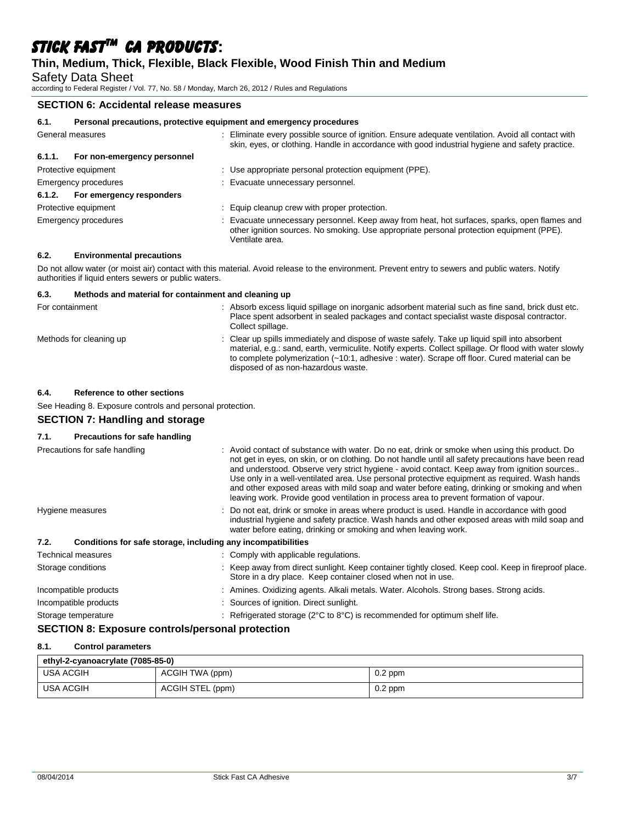### **Thin, Medium, Thick, Flexible, Black Flexible, Wood Finish Thin and Medium**

Safety Data Sheet

according to Federal Register / Vol. 77, No. 58 / Monday, March 26, 2012 / Rules and Regulations

### **SECTION 6: Accidental release measures**

| 6.1.             | Personal precautions, protective equipment and emergency procedures |  |                                                                                                                                                                                                             |
|------------------|---------------------------------------------------------------------|--|-------------------------------------------------------------------------------------------------------------------------------------------------------------------------------------------------------------|
| General measures |                                                                     |  | Eliminate every possible source of ignition. Ensure adequate ventilation. Avoid all contact with<br>skin, eyes, or clothing. Handle in accordance with good industrial hygiene and safety practice.         |
| 6.1.1.           | For non-emergency personnel                                         |  |                                                                                                                                                                                                             |
|                  | Protective equipment                                                |  | : Use appropriate personal protection equipment (PPE).                                                                                                                                                      |
|                  | Emergency procedures                                                |  | Evacuate unnecessary personnel.                                                                                                                                                                             |
| 6.1.2.           | For emergency responders                                            |  |                                                                                                                                                                                                             |
|                  | Protective equipment                                                |  | : Equip cleanup crew with proper protection.                                                                                                                                                                |
|                  | Emergency procedures                                                |  | : Evacuate unnecessary personnel. Keep away from heat, hot surfaces, sparks, open flames and<br>other ignition sources. No smoking. Use appropriate personal protection equipment (PPE).<br>Ventilate area. |

#### **6.2. Environmental precautions**

Do not allow water (or moist air) contact with this material. Avoid release to the environment. Prevent entry to sewers and public waters. Notify authorities if liquid enters sewers or public waters.

| 6.3.<br>Methods and material for containment and cleaning up |                                                                                                                                                                                                                                                                                                                                                  |
|--------------------------------------------------------------|--------------------------------------------------------------------------------------------------------------------------------------------------------------------------------------------------------------------------------------------------------------------------------------------------------------------------------------------------|
| For containment                                              | : Absorb excess liquid spillage on inorganic adsorbent material such as fine sand, brick dust etc.<br>Place spent adsorbent in sealed packages and contact specialist waste disposal contractor.<br>Collect spillage.                                                                                                                            |
| Methods for cleaning up                                      | : Clear up spills immediately and dispose of waste safely. Take up liquid spill into absorbent<br>material, e.g.: sand, earth, vermiculite. Notify experts. Collect spillage. Or flood with water slowly<br>to complete polymerization (~10:1, adhesive : water). Scrape off floor. Cured material can be<br>disposed of as non-hazardous waste. |

#### **6.4. Reference to other sections**

See Heading 8. Exposure controls and personal protection.

# **SECTION 7: Handling and storage**

#### **7.1. Precautions for safe handling**

| Precautions for safe handling                                        | : Avoid contact of substance with water. Do no eat, drink or smoke when using this product. Do<br>not get in eyes, on skin, or on clothing. Do not handle until all safety precautions have been read<br>and understood. Observe very strict hygiene - avoid contact. Keep away from ignition sources<br>Use only in a well-ventilated area. Use personal protective equipment as required. Wash hands<br>and other exposed areas with mild soap and water before eating, drinking or smoking and when<br>leaving work. Provide good ventilation in process area to prevent formation of vapour. |
|----------------------------------------------------------------------|--------------------------------------------------------------------------------------------------------------------------------------------------------------------------------------------------------------------------------------------------------------------------------------------------------------------------------------------------------------------------------------------------------------------------------------------------------------------------------------------------------------------------------------------------------------------------------------------------|
| Hygiene measures                                                     | : Do not eat, drink or smoke in areas where product is used. Handle in accordance with good<br>industrial hygiene and safety practice. Wash hands and other exposed areas with mild soap and<br>water before eating, drinking or smoking and when leaving work.                                                                                                                                                                                                                                                                                                                                  |
| Conditions for safe storage, including any incompatibilities<br>7.2. |                                                                                                                                                                                                                                                                                                                                                                                                                                                                                                                                                                                                  |
| Technical measures                                                   | : Comply with applicable regulations.                                                                                                                                                                                                                                                                                                                                                                                                                                                                                                                                                            |
| Storage conditions                                                   | : Keep away from direct sunlight. Keep container tightly closed. Keep cool. Keep in fireproof place.<br>Store in a dry place. Keep container closed when not in use.                                                                                                                                                                                                                                                                                                                                                                                                                             |
| Incompatible products                                                | : Amines. Oxidizing agents. Alkali metals. Water. Alcohols. Strong bases. Strong acids.                                                                                                                                                                                                                                                                                                                                                                                                                                                                                                          |
| Incompatible products                                                | : Sources of ignition. Direct sunlight.                                                                                                                                                                                                                                                                                                                                                                                                                                                                                                                                                          |
| Storage temperature                                                  | : Refrigerated storage ( $2^{\circ}$ C to $8^{\circ}$ C) is recommended for optimum shelf life.                                                                                                                                                                                                                                                                                                                                                                                                                                                                                                  |
|                                                                      |                                                                                                                                                                                                                                                                                                                                                                                                                                                                                                                                                                                                  |

### **SECTION 8: Exposure controls/personal protection**

#### **8.1. Control parameters**

| ethyl-2-cyanoacrylate (7085-85-0) |                  |           |  |  |  |
|-----------------------------------|------------------|-----------|--|--|--|
| USA ACGIH                         | ACGIH TWA (ppm)  | $0.2$ ppm |  |  |  |
| USA ACGIH                         | ACGIH STEL (ppm) | $0.2$ ppm |  |  |  |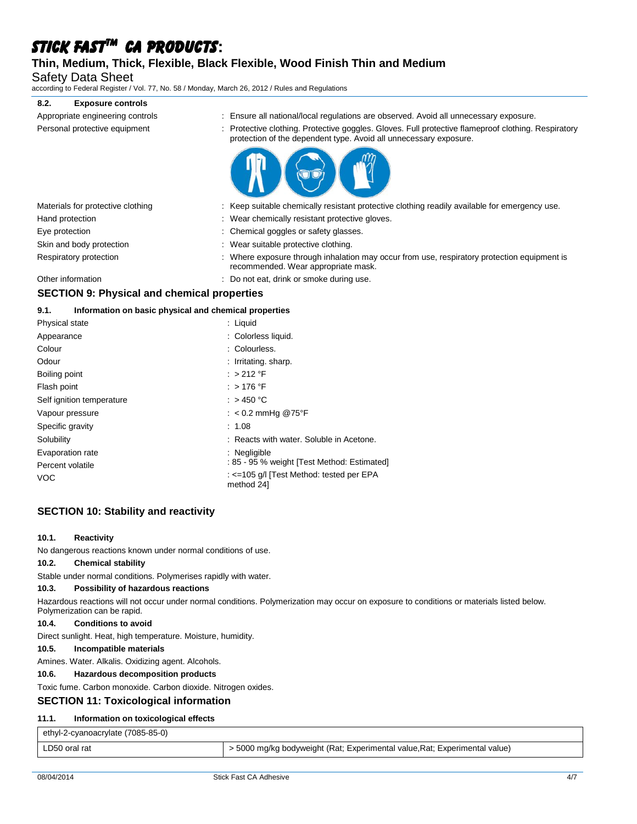### **Thin, Medium, Thick, Flexible, Black Flexible, Wood Finish Thin and Medium**

Safety Data Sheet

according to Federal Register / Vol. 77, No. 58 / Monday, March 26, 2012 / Rules and Regulations

#### **8.2. Exposure controls**

| : Ensure all national/local regulations are observed. Avoid all unnecessary exposure.                                                                                    |
|--------------------------------------------------------------------------------------------------------------------------------------------------------------------------|
| : Protective clothing. Protective goggles. Gloves. Full protective flameproof clothing. Respiratory<br>protection of the dependent type. Avoid all unnecessary exposure. |
|                                                                                                                                                                          |



| Materials for protective clothing | : Keep suitable chemically resistant protective clothing readily available for emergency use.                                      |
|-----------------------------------|------------------------------------------------------------------------------------------------------------------------------------|
| Hand protection                   | : Wear chemically resistant protective gloves.                                                                                     |
| Eye protection                    | : Chemical goggles or safety glasses.                                                                                              |
| Skin and body protection          | : Wear suitable protective clothing.                                                                                               |
| Respiratory protection            | : Where exposure through inhalation may occur from use, respiratory protection equipment is<br>recommended. Wear appropriate mask. |
| Other information                 | : Do not eat, drink or smoke during use.                                                                                           |

# **SECTION 9: Physical and chemical properties**

#### **9.1. Information on basic physical and chemical properties**

| Physical state            | : Liquid                                               |
|---------------------------|--------------------------------------------------------|
| Appearance                | : Colorless liquid.                                    |
| Colour                    | : Colourless.                                          |
| Odour                     | : Irritating. sharp.                                   |
| Boiling point             | :>212 °F                                               |
| Flash point               | $:$ > 176 °F                                           |
| Self ignition temperature | : $>$ 450 °C                                           |
| Vapour pressure           | : $< 0.2$ mmHg @75°F                                   |
| Specific gravity          | : 1.08                                                 |
| Solubility                | : Reacts with water. Soluble in Acetone.               |
| Evaporation rate          | : Negligible                                           |
| Percent volatile          | : 85 - 95 % weight [Test Method: Estimated]            |
| VOC                       | : <=105 q/l [Test Method: tested per EPA<br>method 24] |

# **SECTION 10: Stability and reactivity**

#### **10.1. Reactivity**

No dangerous reactions known under normal conditions of use.

#### **10.2. Chemical stability**

Stable under normal conditions. Polymerises rapidly with water.

#### **10.3. Possibility of hazardous reactions**

Hazardous reactions will not occur under normal conditions. Polymerization may occur on exposure to conditions or materials listed below. Polymerization can be rapid.

#### **10.4. Conditions to avoid**

Direct sunlight. Heat, high temperature. Moisture, humidity.

### **10.5. Incompatible materials**

Amines. Water. Alkalis. Oxidizing agent. Alcohols.

### **10.6. Hazardous decomposition products**

Toxic fume. Carbon monoxide. Carbon dioxide. Nitrogen oxides.

### **SECTION 11: Toxicological information**

### **11.1. Information on toxicological effects**

ethyl-2-cyanoacrylate (7085-85-0)

| LD50 oral rat |  |
|---------------|--|
|---------------|--|

> 5000 mg/kg bodyweight (Rat; Experimental value,Rat; Experimental value)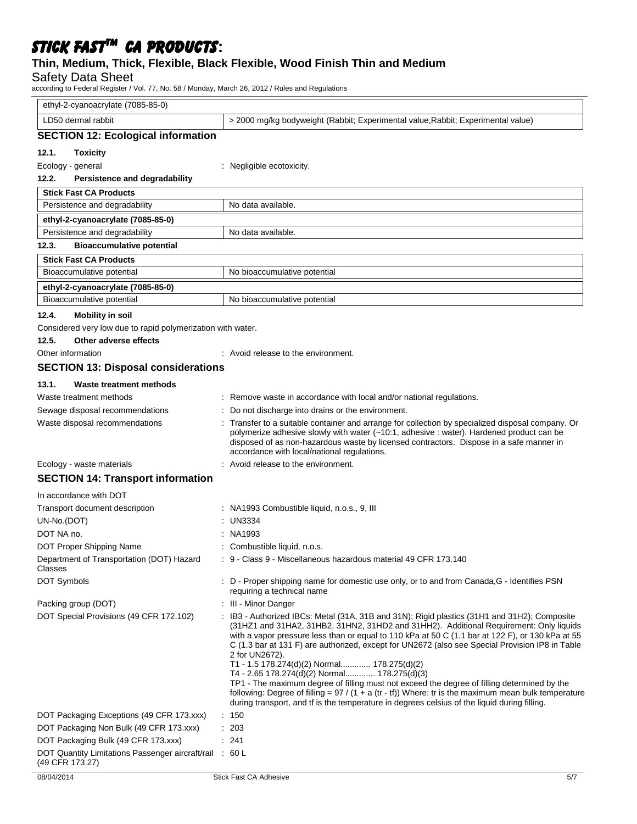# **Thin, Medium, Thick, Flexible, Black Flexible, Wood Finish Thin and Medium**

Safety Data Sheet

according to Federal Register / Vol. 77, No. 58 / Monday, March 26, 2012 / Rules and Regulations

| ethyl-2-cyanoacrylate (7085-85-0)                                          |                                                                                                                                                                                                                                                                                                                                                                                                                                                                                                                                                                                                                                                                                                                                                                                                                         |
|----------------------------------------------------------------------------|-------------------------------------------------------------------------------------------------------------------------------------------------------------------------------------------------------------------------------------------------------------------------------------------------------------------------------------------------------------------------------------------------------------------------------------------------------------------------------------------------------------------------------------------------------------------------------------------------------------------------------------------------------------------------------------------------------------------------------------------------------------------------------------------------------------------------|
| LD50 dermal rabbit                                                         | > 2000 mg/kg bodyweight (Rabbit; Experimental value, Rabbit; Experimental value)                                                                                                                                                                                                                                                                                                                                                                                                                                                                                                                                                                                                                                                                                                                                        |
| <b>SECTION 12: Ecological information</b>                                  |                                                                                                                                                                                                                                                                                                                                                                                                                                                                                                                                                                                                                                                                                                                                                                                                                         |
| 12.1.<br><b>Toxicity</b>                                                   |                                                                                                                                                                                                                                                                                                                                                                                                                                                                                                                                                                                                                                                                                                                                                                                                                         |
| Ecology - general                                                          | : Negligible ecotoxicity.                                                                                                                                                                                                                                                                                                                                                                                                                                                                                                                                                                                                                                                                                                                                                                                               |
| 12.2.<br>Persistence and degradability                                     |                                                                                                                                                                                                                                                                                                                                                                                                                                                                                                                                                                                                                                                                                                                                                                                                                         |
| <b>Stick Fast CA Products</b>                                              |                                                                                                                                                                                                                                                                                                                                                                                                                                                                                                                                                                                                                                                                                                                                                                                                                         |
| Persistence and degradability                                              | No data available.                                                                                                                                                                                                                                                                                                                                                                                                                                                                                                                                                                                                                                                                                                                                                                                                      |
| ethyl-2-cyanoacrylate (7085-85-0)                                          |                                                                                                                                                                                                                                                                                                                                                                                                                                                                                                                                                                                                                                                                                                                                                                                                                         |
| Persistence and degradability                                              | No data available.                                                                                                                                                                                                                                                                                                                                                                                                                                                                                                                                                                                                                                                                                                                                                                                                      |
| 12.3.<br><b>Bioaccumulative potential</b>                                  |                                                                                                                                                                                                                                                                                                                                                                                                                                                                                                                                                                                                                                                                                                                                                                                                                         |
| <b>Stick Fast CA Products</b>                                              |                                                                                                                                                                                                                                                                                                                                                                                                                                                                                                                                                                                                                                                                                                                                                                                                                         |
| Bioaccumulative potential                                                  | No bioaccumulative potential                                                                                                                                                                                                                                                                                                                                                                                                                                                                                                                                                                                                                                                                                                                                                                                            |
| ethyl-2-cyanoacrylate (7085-85-0)                                          |                                                                                                                                                                                                                                                                                                                                                                                                                                                                                                                                                                                                                                                                                                                                                                                                                         |
| Bioaccumulative potential                                                  | No bioaccumulative potential                                                                                                                                                                                                                                                                                                                                                                                                                                                                                                                                                                                                                                                                                                                                                                                            |
| 12.4.<br><b>Mobility in soil</b>                                           |                                                                                                                                                                                                                                                                                                                                                                                                                                                                                                                                                                                                                                                                                                                                                                                                                         |
| Considered very low due to rapid polymerization with water.                |                                                                                                                                                                                                                                                                                                                                                                                                                                                                                                                                                                                                                                                                                                                                                                                                                         |
| 12.5.<br>Other adverse effects                                             |                                                                                                                                                                                                                                                                                                                                                                                                                                                                                                                                                                                                                                                                                                                                                                                                                         |
| Other information                                                          | : Avoid release to the environment.                                                                                                                                                                                                                                                                                                                                                                                                                                                                                                                                                                                                                                                                                                                                                                                     |
| <b>SECTION 13: Disposal considerations</b>                                 |                                                                                                                                                                                                                                                                                                                                                                                                                                                                                                                                                                                                                                                                                                                                                                                                                         |
| 13.1.<br>Waste treatment methods                                           |                                                                                                                                                                                                                                                                                                                                                                                                                                                                                                                                                                                                                                                                                                                                                                                                                         |
| Waste treatment methods                                                    | Remove waste in accordance with local and/or national regulations.                                                                                                                                                                                                                                                                                                                                                                                                                                                                                                                                                                                                                                                                                                                                                      |
| Sewage disposal recommendations                                            | Do not discharge into drains or the environment.                                                                                                                                                                                                                                                                                                                                                                                                                                                                                                                                                                                                                                                                                                                                                                        |
| Waste disposal recommendations                                             | Transfer to a suitable container and arrange for collection by specialized disposal company. Or<br>polymerize adhesive slowly with water (~10:1, adhesive : water). Hardened product can be<br>disposed of as non-hazardous waste by licensed contractors. Dispose in a safe manner in<br>accordance with local/national regulations.                                                                                                                                                                                                                                                                                                                                                                                                                                                                                   |
| Ecology - waste materials                                                  | Avoid release to the environment.                                                                                                                                                                                                                                                                                                                                                                                                                                                                                                                                                                                                                                                                                                                                                                                       |
| <b>SECTION 14: Transport information</b>                                   |                                                                                                                                                                                                                                                                                                                                                                                                                                                                                                                                                                                                                                                                                                                                                                                                                         |
| In accordance with DOT                                                     |                                                                                                                                                                                                                                                                                                                                                                                                                                                                                                                                                                                                                                                                                                                                                                                                                         |
| Transport document description                                             | : NA1993 Combustible liquid, n.o.s., 9, III                                                                                                                                                                                                                                                                                                                                                                                                                                                                                                                                                                                                                                                                                                                                                                             |
| UN-No.(DOT)                                                                | <b>UN3334</b>                                                                                                                                                                                                                                                                                                                                                                                                                                                                                                                                                                                                                                                                                                                                                                                                           |
| DOT NA no.                                                                 | $:$ NA1993                                                                                                                                                                                                                                                                                                                                                                                                                                                                                                                                                                                                                                                                                                                                                                                                              |
| DOT Proper Shipping Name                                                   | : Combustible liquid, n.o.s.                                                                                                                                                                                                                                                                                                                                                                                                                                                                                                                                                                                                                                                                                                                                                                                            |
| Department of Transportation (DOT) Hazard<br>Classes                       | : 9 - Class 9 - Miscellaneous hazardous material 49 CFR 173.140                                                                                                                                                                                                                                                                                                                                                                                                                                                                                                                                                                                                                                                                                                                                                         |
| DOT Symbols                                                                | : D - Proper shipping name for domestic use only, or to and from Canada, G - Identifies PSN<br>requiring a technical name                                                                                                                                                                                                                                                                                                                                                                                                                                                                                                                                                                                                                                                                                               |
| Packing group (DOT)                                                        | : III - Minor Danger                                                                                                                                                                                                                                                                                                                                                                                                                                                                                                                                                                                                                                                                                                                                                                                                    |
| DOT Special Provisions (49 CFR 172.102)                                    | : IB3 - Authorized IBCs: Metal (31A, 31B and 31N); Rigid plastics (31H1 and 31H2); Composite<br>(31HZ1 and 31HA2, 31HB2, 31HN2, 31HD2 and 31HH2). Additional Requirement: Only liquids<br>with a vapor pressure less than or equal to 110 kPa at 50 C (1.1 bar at 122 F), or 130 kPa at 55<br>C (1.3 bar at 131 F) are authorized, except for UN2672 (also see Special Provision IP8 in Table<br>2 for UN2672).<br>T1 - 1.5 178.274(d)(2) Normal 178.275(d)(2)<br>T4 - 2.65 178.274(d)(2) Normal 178.275(d)(3)<br>TP1 - The maximum degree of filling must not exceed the degree of filling determined by the<br>following: Degree of filling = $97 / (1 + a (tr - tf))$ Where: tr is the maximum mean bulk temperature<br>during transport, and tf is the temperature in degrees celsius of the liquid during filling. |
| DOT Packaging Exceptions (49 CFR 173.xxx)                                  | : 150                                                                                                                                                                                                                                                                                                                                                                                                                                                                                                                                                                                                                                                                                                                                                                                                                   |
| DOT Packaging Non Bulk (49 CFR 173.xxx)                                    | 203                                                                                                                                                                                                                                                                                                                                                                                                                                                                                                                                                                                                                                                                                                                                                                                                                     |
| DOT Packaging Bulk (49 CFR 173.xxx)                                        | : 241                                                                                                                                                                                                                                                                                                                                                                                                                                                                                                                                                                                                                                                                                                                                                                                                                   |
| DOT Quantity Limitations Passenger aircraft/rail : 60 L<br>(49 CFR 173.27) |                                                                                                                                                                                                                                                                                                                                                                                                                                                                                                                                                                                                                                                                                                                                                                                                                         |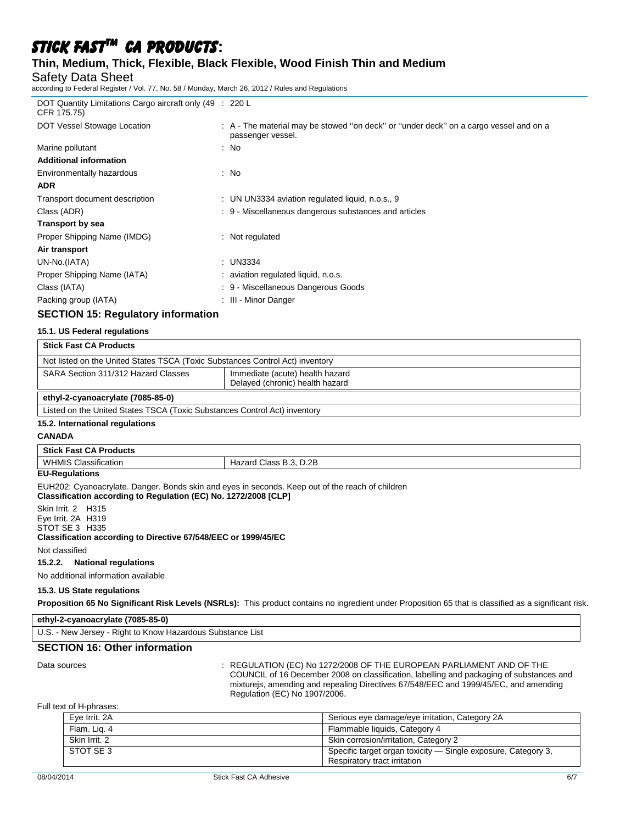# **Thin, Medium, Thick, Flexible, Black Flexible, Wood Finish Thin and Medium**

#### Safety Data Sheet

according to Federal Register / Vol. 77, No. 58 / Monday, March 26, 2012 / Rules and Regulations

| DOT Quantity Limitations Cargo aircraft only (49 : 220 L<br>CFR 175.75) |                                                                                                            |
|-------------------------------------------------------------------------|------------------------------------------------------------------------------------------------------------|
| DOT Vessel Stowage Location                                             | : A - The material may be stowed "on deck" or "under deck" on a cargo vessel and on a<br>passenger vessel. |
| Marine pollutant                                                        | : No                                                                                                       |
| <b>Additional information</b>                                           |                                                                                                            |
| Environmentally hazardous                                               | : No                                                                                                       |
| <b>ADR</b>                                                              |                                                                                                            |
| Transport document description                                          | : UN UN3334 aviation regulated liquid, n.o.s., 9                                                           |
| Class (ADR)                                                             | : 9 - Miscellaneous dangerous substances and articles                                                      |
| Transport by sea                                                        |                                                                                                            |
| Proper Shipping Name (IMDG)                                             | $:$ Not regulated                                                                                          |
| Air transport                                                           |                                                                                                            |
| UN-No.(IATA)                                                            | $:$ UN3334                                                                                                 |
| Proper Shipping Name (IATA)                                             | : aviation regulated liquid, n.o.s.                                                                        |
| Class (IATA)                                                            | : 9 - Miscellaneous Dangerous Goods                                                                        |
| Packing group (IATA)                                                    | : III - Minor Danger                                                                                       |

### **SECTION 15: Regulatory information**

#### **15.1. US Federal regulations**

| <b>Stick Fast CA Products</b>                                                 |                                                                    |  |  |  |
|-------------------------------------------------------------------------------|--------------------------------------------------------------------|--|--|--|
| Not listed on the United States TSCA (Toxic Substances Control Act) inventory |                                                                    |  |  |  |
| SARA Section 311/312 Hazard Classes                                           | Immediate (acute) health hazard<br>Delayed (chronic) health hazard |  |  |  |
| ethyl-2-cyanoacrylate (7085-85-0)                                             |                                                                    |  |  |  |
| Listed on the United States TSCA (Toxic Substances Control Act) inventory     |                                                                    |  |  |  |

#### **15.2. International regulations**

#### **CANADA**

| <b>Stick Fast CA Products</b>  |                        |  |
|--------------------------------|------------------------|--|
| <b>WHMIS</b><br>Classification | Hazard Class B.3, D.2B |  |

#### **EU-Regulations**

EUH202: Cyanoacrylate. Danger. Bonds skin and eyes in seconds. Keep out of the reach of children **Classification according to Regulation (EC) No. 1272/2008 [CLP]**

Skin Irrit. 2 H315 Eye Irrit. 2A H319

STOT SE 3 H335

#### **Classification according to Directive 67/548/EEC or 1999/45/EC**

Not classified

#### **15.2.2. National regulations**

No additional information available

#### **15.3. US State regulations**

**Proposition 65 No Significant Risk Levels (NSRLs):** This product contains no ingredient under Proposition 65 that is classified as a significant risk.

| ethyl-2-cyanoacrylate (7085-85-0)                    |  |
|------------------------------------------------------|--|
| $\cdots$<br>. Diakt te Kaeus Hemedeue Ouketeare Hist |  |

# U.S. - New Jersey - Right to Know Hazardous Substance List

**SECTION 16: Other information**

Data sources **State State State State State State State State State State State State State State State State State State State State State State State State State State State State State State State State State State Stat** COUNCIL of 16 December 2008 on classification, labelling and packaging of substances and mixturejs, amending and repealing Directives 67/548/EEC and 1999/45/EC, and amending Regulation (EC) No 1907/2006.

#### Full text of H-phrases:

| Eve Irrit, 2A | Serious eye damage/eye irritation, Category 2A                                                |
|---------------|-----------------------------------------------------------------------------------------------|
| Flam. Lig. 4  | Flammable liquids, Category 4                                                                 |
| Skin Irrit, 2 | Skin corrosion/irritation, Category 2                                                         |
| STOT SE 3     | Specific target organ toxicity — Single exposure, Category 3,<br>Respiratory tract irritation |